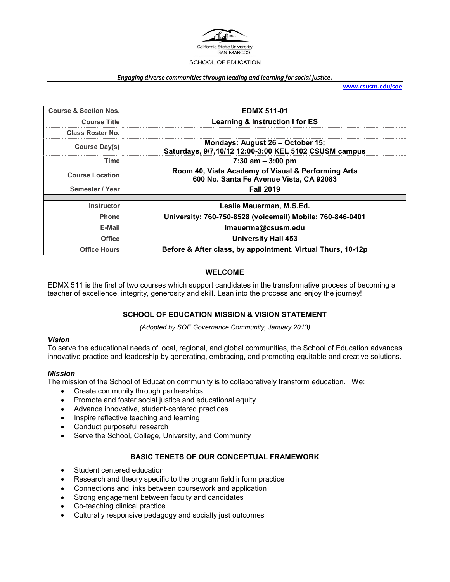

#### *Engaging diverse communities through leading and learning for social justice.*

**[www.csusm.edu/soe](http://www.csusm.edu/soe)**

| <b>Course &amp; Section Nos.</b> | <b>EDMX 511-01</b>                                                                            |  |
|----------------------------------|-----------------------------------------------------------------------------------------------|--|
| <b>Course Title</b>              | <b>Learning &amp; Instruction I for ES</b>                                                    |  |
| <b>Class Roster No.</b>          |                                                                                               |  |
| <b>Course Day(s)</b>             | Mondays: August 26 - October 15;<br>Saturdays, 9/7,10/12 12:00-3:00 KEL 5102 CSUSM campus     |  |
| Time                             | 7:30 am $-$ 3:00 pm                                                                           |  |
| <b>Course Location</b>           | Room 40, Vista Academy of Visual & Performing Arts<br>600 No. Santa Fe Avenue Vista, CA 92083 |  |
| Semester / Year                  | <b>Fall 2019</b>                                                                              |  |
|                                  |                                                                                               |  |
| <b>Instructor</b>                | Leslie Mauerman, M.S.Ed.                                                                      |  |
| <b>Phone</b>                     | University: 760-750-8528 (voicemail) Mobile: 760-846-0401                                     |  |
| E-Mail                           | Imauerma@csusm.edu                                                                            |  |
| <b>Office</b>                    | <b>University Hall 453</b>                                                                    |  |
| <b>Office Hours</b>              | Before & After class, by appointment. Virtual Thurs, 10-12p                                   |  |

### **WELCOME**

EDMX 511 is the first of two courses which support candidates in the transformative process of becoming a teacher of excellence, integrity, generosity and skill. Lean into the process and enjoy the journey!

## **SCHOOL OF EDUCATION MISSION & VISION STATEMENT**

*(Adopted by SOE Governance Community, January 2013)*

#### *Vision*

To serve the educational needs of local, regional, and global communities, the School of Education advances innovative practice and leadership by generating, embracing, and promoting equitable and creative solutions.

#### *Mission*

The mission of the School of Education community is to collaboratively transform education. We:

- Create community through partnerships
- Promote and foster social justice and educational equity
- Advance innovative, student-centered practices
- Inspire reflective teaching and learning
- Conduct purposeful research
- Serve the School, College, University, and Community

## **BASIC TENETS OF OUR CONCEPTUAL FRAMEWORK**

- Student centered education
- Research and theory specific to the program field inform practice
- Connections and links between coursework and application
- Strong engagement between faculty and candidates
- Co-teaching clinical practice
- Culturally responsive pedagogy and socially just outcomes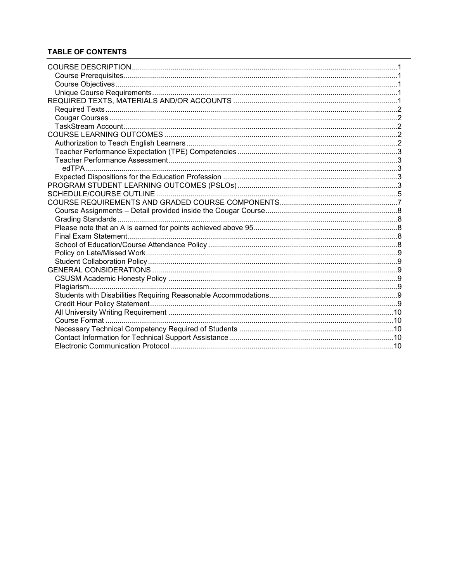# **TABLE OF CONTENTS**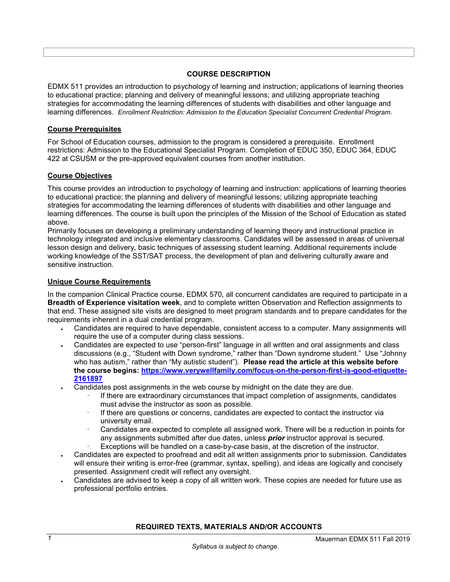## **COURSE DESCRIPTION**

<span id="page-2-5"></span><span id="page-2-0"></span>EDMX 511 provides an introduction to psychology of learning and instruction; applications of learning theories to educational practice; planning and delivery of meaningful lessons; and utilizing appropriate teaching strategies for accommodating the learning differences of students with disabilities and other language and learning differences. *Enrollment Restriction: Admission to the Education Specialist Concurrent Credential Program.* 

## <span id="page-2-1"></span>**Course Prerequisites**

For School of Education courses, admission to the program is considered a prerequisite. Enrollment restrictions: Admission to the Educational Specialist Program. Completion of EDUC 350, EDUC 364, EDUC 422 at CSUSM or the pre-approved equivalent courses from another institution.

### <span id="page-2-2"></span>**Course Objectives**

This course provides an introduction to psychology of learning and instruction: applications of learning theories to educational practice; the planning and delivery of meaningful lessons; utilizing appropriate teaching strategies for accommodating the learning differences of students with disabilities and other language and learning differences. The course is built upon the principles of the Mission of the School of Education as stated above.

Primarily focuses on developing a preliminary understanding of learning theory and instructional practice in technology integrated and inclusive elementary classrooms. Candidates will be assessed in areas of universal lesson design and delivery, basic techniques of assessing student learning. Additional requirements include working knowledge of the SST/SAT process, the development of plan and delivering culturally aware and sensitive instruction.

### <span id="page-2-3"></span>**Unique Course Requirements**

In the companion Clinical Practice course, EDMX 570, all concurrent candidates are required to participate in a **Breadth of Experience visitation week**, and to complete written Observation and Reflection assignments to that end. These assigned site visits are designed to meet program standards and to prepare candidates for the requirements inherent in a dual credential program.

- Candidates are required to have dependable, consistent access to a computer. Many assignments will require the use of a computer during class sessions.
- Candidates are expected to use "person-first" language in all written and oral assignments and class discussions (e.g., "Student with Down syndrome," rather than "Down syndrome student." Use "Johnny who has autism," rather than "My autistic student"). **Please read the article at this website before the course begins: [https://www.verywellfamily.com/focus-on-the-person-first-is-good-etiquette-](https://www.verywellfamily.com/focus-on-the-person-first-is-good-etiquette-2161897)[2161897](https://www.verywellfamily.com/focus-on-the-person-first-is-good-etiquette-2161897)**
- Candidates post assignments in the web course by midnight on the date they are due.
	- If there are extraordinary circumstances that impact completion of assignments, candidates must advise the instructor as soon as possible.
	- If there are questions or concerns, candidates are expected to contact the instructor via university email.
	- Candidates are expected to complete all assigned work. There will be a reduction in points for any assignments submitted after due dates, unless *prior* instructor approval is secured.
	- Exceptions will be handled on a case-by-case basis, at the discretion of the instructor.
- Candidates are expected to proofread and edit all written assignments prior to submission. Candidates will ensure their writing is error-free (grammar, syntax, spelling), and ideas are logically and concisely presented. Assignment credit will reflect any oversight.
- <span id="page-2-4"></span>• Candidates are advised to keep a copy of all written work. These copies are needed for future use as professional portfolio entries.

## **REQUIRED TEXTS, MATERIALS AND/OR ACCOUNTS**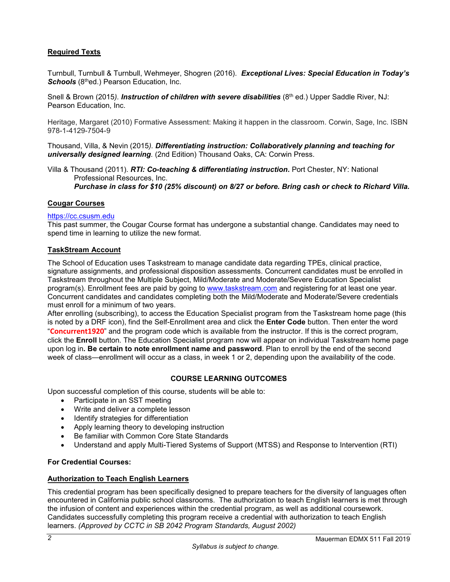# **Required Texts**

Turnbull, Turnbull & Turnbull, Wehmeyer, Shogren (2016). *Exceptional Lives: Special Education in Today's*  **Schools** (8<sup>th</sup>ed.) Pearson Education, Inc.

Snell & Brown (2015*). Instruction of children with severe disabilities* (8th ed.) Upper Saddle River, NJ: Pearson Education, Inc.

Heritage, Margaret (2010) Formative Assessment: Making it happen in the classroom. Corwin, Sage, Inc. ISBN 978-1-4129-7504-9

Thousand, Villa, & Nevin (2015*). Differentiating instruction: Collaboratively planning and teaching for universally designed learning.* (2nd Edition) Thousand Oaks, CA: Corwin Press.

Villa & Thousand (2011). *RTI: Co-teaching & differentiating instruction***.** Port Chester, NY: National Professional Resources, Inc.

*Purchase in class for \$10 (25% discount) on 8/27 or before. Bring cash or check to Richard Villa.*

### <span id="page-3-0"></span>**Cougar Courses**

### [https://cc.csusm.edu](https://cc.csusm.edu/)

This past summer, the Cougar Course format has undergone a substantial change. Candidates may need to spend time in learning to utilize the new format.

### <span id="page-3-1"></span>**TaskStream Account**

The School of Education uses Taskstream to manage candidate data regarding TPEs, clinical practice, signature assignments, and professional disposition assessments. Concurrent candidates must be enrolled in Taskstream throughout the Multiple Subject, Mild/Moderate and Moderate/Severe Education Specialist program(s). Enrollment fees are paid by going to [www.taskstream.com](https://copilot.csusm.edu/owa/redir.aspx?C=JQGRF98_YUaQtaUmRLCQfVWnwmJwxs9IDInTVMhk81xWIUA7hRT2uY6jlnFWAAXDSUJtKsld_Qs.&URL=http%3a%2f%2fwww.taskstrem.com) and registering for at least one year. Concurrent candidates and candidates completing both the Mild/Moderate and Moderate/Severe credentials must enroll for a minimum of two years.

After enrolling (subscribing), to access the Education Specialist program from the Taskstream home page (this is noted by a DRF icon), find the Self-Enrollment area and click the **Enter Code** button. Then enter the word "**Concurrent1920**" and the program code which is available from the instructor. If this is the correct program, click the **Enroll** button. The Education Specialist program now will appear on individual Taskstream home page upon log in**. Be certain to note enrollment name and password**. Plan to enroll by the end of the second week of class—enrollment will occur as a class, in week 1 or 2, depending upon the availability of the code.

#### **COURSE LEARNING OUTCOMES**

<span id="page-3-2"></span>Upon successful completion of this course, students will be able to:

- Participate in an SST meeting
- Write and deliver a complete lesson
- Identify strategies for differentiation
- Apply learning theory to developing instruction
- Be familiar with Common Core State Standards
- Understand and apply Multi-Tiered Systems of Support (MTSS) and Response to Intervention (RTI)

#### **For Credential Courses:**

#### <span id="page-3-3"></span>**Authorization to Teach English Learners**

This credential program has been specifically designed to prepare teachers for the diversity of languages often encountered in California public school classrooms. The authorization to teach English learners is met through the infusion of content and experiences within the credential program, as well as additional coursework. Candidates successfully completing this program receive a credential with authorization to teach English learners. *(Approved by CCTC in SB 2042 Program Standards, August 2002)*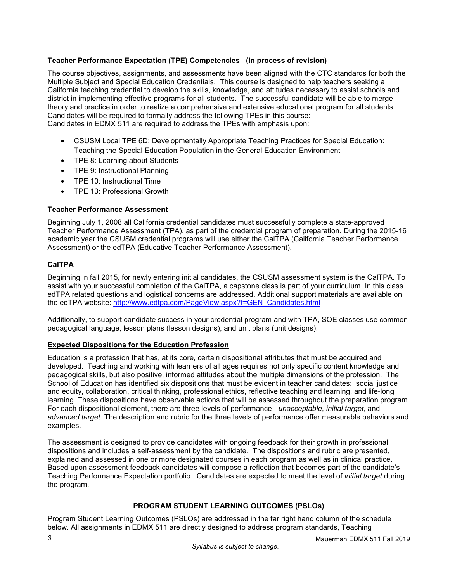# <span id="page-4-0"></span>**Teacher Performance Expectation (TPE) Competencies (In process of revision)**

The course objectives, assignments, and assessments have been aligned with the CTC standards for both the Multiple Subject and Special Education Credentials. This course is designed to help teachers seeking a California teaching credential to develop the skills, knowledge, and attitudes necessary to assist schools and district in implementing effective programs for all students. The successful candidate will be able to merge theory and practice in order to realize a comprehensive and extensive educational program for all students. Candidates will be required to formally address the following TPEs in this course: Candidates in EDMX 511 are required to address the TPEs with emphasis upon:

- CSUSM Local TPE 6D: Developmentally Appropriate Teaching Practices for Special Education: Teaching the Special Education Population in the General Education Environment
- TPE 8: Learning about Students
- TPE 9: Instructional Planning
- TPE 10: Instructional Time
- TPE 13: Professional Growth

# <span id="page-4-1"></span>**Teacher Performance Assessment**

Beginning July 1, 2008 all California credential candidates must successfully complete a state-approved Teacher Performance Assessment (TPA), as part of the credential program of preparation. During the 2015-16 academic year the CSUSM credential programs will use either the CalTPA (California Teacher Performance Assessment) or the edTPA (Educative Teacher Performance Assessment).

# <span id="page-4-2"></span>**CalTPA**

Beginning in fall 2015, for newly entering initial candidates, the CSUSM assessment system is the CalTPA. To assist with your successful completion of the CalTPA, a capstone class is part of your curriculum. In this class edTPA related questions and logistical concerns are addressed. Additional support materials are available on the edTPA website: [http://www.edtpa.com/PageView.aspx?f=GEN\\_Candidates.html](http://www.edtpa.com/PageView.aspx?f=GEN_Candidates.html)

Additionally, to support candidate success in your credential program and with TPA, SOE classes use common pedagogical language, lesson plans (lesson designs), and unit plans (unit designs).

## <span id="page-4-3"></span>**Expected Dispositions for the Education Profession**

Education is a profession that has, at its core, certain dispositional attributes that must be acquired and developed. Teaching and working with learners of all ages requires not only specific content knowledge and pedagogical skills, but also positive, informed attitudes about the multiple dimensions of the profession. The School of Education has identified six dispositions that must be evident in teacher candidates: social justice and equity, collaboration, critical thinking, professional ethics, reflective teaching and learning, and life-long learning. These dispositions have observable actions that will be assessed throughout the preparation program. For each dispositional element, there are three levels of performance - *unacceptable*, *initial target*, and *advanced target*. The description and rubric for the three levels of performance offer measurable behaviors and examples.

The assessment is designed to provide candidates with ongoing feedback for their growth in professional dispositions and includes a self-assessment by the candidate. The dispositions and rubric are presented, explained and assessed in one or more designated courses in each program as well as in clinical practice. Based upon assessment feedback candidates will compose a reflection that becomes part of the candidate's Teaching Performance Expectation portfolio. Candidates are expected to meet the level of *initial target* during the program.

# **PROGRAM STUDENT LEARNING OUTCOMES (PSLOs)**

<span id="page-4-4"></span>Program Student Learning Outcomes (PSLOs) are addressed in the far right hand column of the schedule below. All assignments in EDMX 511 are directly designed to address program standards, Teaching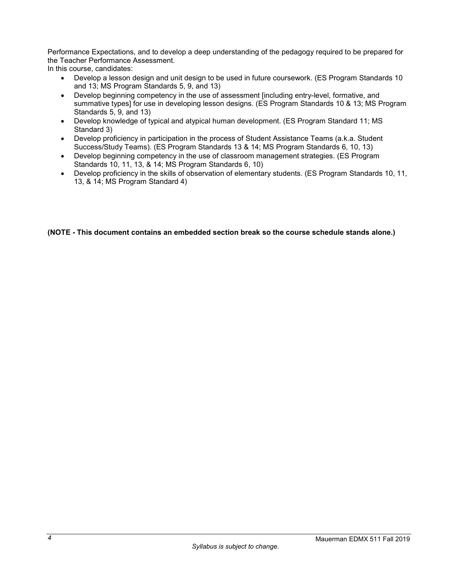<span id="page-5-0"></span>Performance Expectations, and to develop a deep understanding of the pedagogy required to be prepared for the Teacher Performance Assessment.

In this course, candidates:

- Develop a lesson design and unit design to be used in future coursework. (ES Program Standards 10 and 13; MS Program Standards 5, 9, and 13)
- Develop beginning competency in the use of assessment [including entry-level, formative, and summative types] for use in developing lesson designs. (ES Program Standards 10 & 13; MS Program Standards 5, 9, and 13)
- Develop knowledge of typical and atypical human development. (ES Program Standard 11; MS Standard 3)
- Develop proficiency in participation in the process of Student Assistance Teams (a.k.a. Student Success/Study Teams). (ES Program Standards 13 & 14; MS Program Standards 6, 10, 13)
- Develop beginning competency in the use of classroom management strategies. (ES Program Standards 10, 11, 13, & 14; MS Program Standards 6, 10)
- Develop proficiency in the skills of observation of elementary students. (ES Program Standards 10, 11, 13, & 14; MS Program Standard 4)

**(NOTE - This document contains an embedded section break so the course schedule stands alone.)**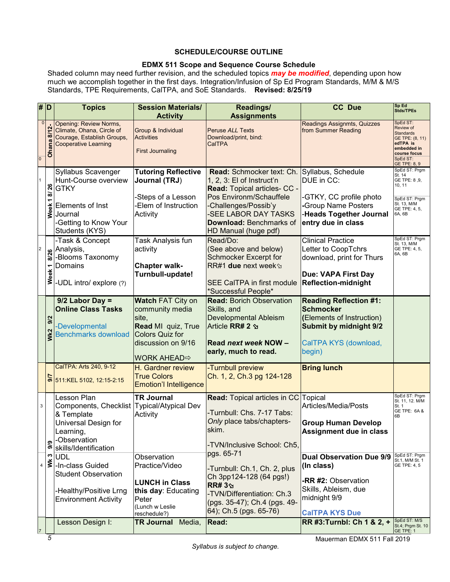## **SCHEDULE/COURSE OUTLINE**

## **EDMX 511 Scope and Sequence Course Schedule**

Shaded column may need further revision, and the scheduled topics *may be modified*, depending upon how much we accomplish together in the first days. Integration/Infusion of Sp Ed Program Standards, M/M & M/S Standards, TPE Requirements, CalTPA, and SoE Standards. **Revised: 8/25/19**

|                         | # $\vert D \vert$              | <b>Topics</b>                                                                                                                                          | <b>Session Materials/</b>                                                                                                                         | Readings/                                                                                                                                                                                                                        | <b>CC Due</b>                                                                                                                                                   | Sp Ed<br><b>Stds/TPEs</b>                                                                                                                    |
|-------------------------|--------------------------------|--------------------------------------------------------------------------------------------------------------------------------------------------------|---------------------------------------------------------------------------------------------------------------------------------------------------|----------------------------------------------------------------------------------------------------------------------------------------------------------------------------------------------------------------------------------|-----------------------------------------------------------------------------------------------------------------------------------------------------------------|----------------------------------------------------------------------------------------------------------------------------------------------|
|                         |                                |                                                                                                                                                        | <b>Activity</b>                                                                                                                                   | <b>Assignments</b>                                                                                                                                                                                                               |                                                                                                                                                                 |                                                                                                                                              |
| $\overline{0}$          | $\mathbf{0}$<br>8/12-<br>Ohana | <b>Opening: Review Norms,</b><br>Climate, Ohana, Circle of<br>Courage, Establish Groups,<br><b>Cooperative Learning</b>                                | <b>Group &amp; Individual</b><br><b>Activities</b><br><b>First Journaling</b>                                                                     | <b>Peruse ALL Texts</b><br>Download/print, bind:<br>CalTPA                                                                                                                                                                       | Readings Assignmts, Quizzes<br>from Summer Reading                                                                                                              | SpEd ST:<br>Review of<br><b>Standards</b><br>GE TPE: (8, 11)<br>edTPA is<br>embedded in<br>course focus<br>SpEd ST:<br>GE TPE: 8, 9          |
|                         | 8/26<br>٣<br>Week              | Syllabus Scavenger<br>Hunt-Course overview<br><b>GTKY</b><br>Elements of Inst<br>Journal<br>-Getting to Know Your<br>Students (KYS)<br>-Task & Concept | <b>Tutoring Reflective</b><br>Journal (TRJ)<br>-Steps of a Lesson<br>Elem of Instruction<br>Activity<br>Task Analysis fun                         | Read: Schmocker text: Ch.<br>1, 2, 3: El of Instruct'n<br>Read: Topical articles- CC -<br>Pos Environm/Schauffele<br>-Challenges/Possib'y<br>-SEE LABOR DAY TASKS<br>Download: Benchmarks of<br>HD Manual (huge pdf)<br>Read/Do: | Syllabus, Schedule<br>DUE in CC:<br>-GTKY, CC profile photo<br>-Group Name Posters<br>-Heads Together Journal<br>entry due in class<br><b>Clinical Practice</b> | SpEd ST: Prgm<br>St. 14<br>GE TPE: 8,9,<br>10, 11<br>SpEd ST: Prgm<br>St. 13, M/M<br>GE TPE: 4, 5,<br>6A, 6B<br>SpEd ST: Prgm<br>St. 13, M/M |
| $\overline{\mathbf{c}}$ | 8/26<br>Week <sub>1</sub>      | Analysis,<br>-Blooms Taxonomy<br>Domains<br>-UDL intro/ explore (?)                                                                                    | activity<br><b>Chapter walk-</b><br>Turnbull-update!                                                                                              | (See above and below)<br><b>Schmocker Excerpt for</b><br><b>SEE CaITPA in first module</b><br>*Successful People*                                                                                                                | Letter to CoopTchrs<br>download, print for Thurs<br>Due: VAPA First Day<br><b>Reflection-midnight</b>                                                           | GE TPE: 4, 5,<br>6A, 6B                                                                                                                      |
|                         | 9/2<br>Wk2                     | $9/2$ Labor Day =<br><b>Online Class Tasks</b><br>-Developmental<br><b>Benchmarks download</b>                                                         | <b>Watch FAT City on</b><br>community media<br>site,<br><b>Read MI</b> quiz, True<br>Colors Quiz for<br>discussion on 9/16<br><b>WORK AHEAD</b> ⇒ | <b>Read: Borich Observation</b><br>Skills, and<br><b>Developmental Ableism</b><br>Article RR# 2 &<br>Read next week NOW -<br>early, much to read.                                                                                | <b>Reading Reflection #1:</b><br><b>Schmocker</b><br>(Elements of Instruction)<br>Submit by midnight 9/2<br>CalTPA KYS (download,<br>begin)                     |                                                                                                                                              |
|                         |                                | CalTPA: Arts 240, 9-12<br>$S$ 511:KEL 5102, 12:15-2:15                                                                                                 | H. Gardner review<br><b>True Colors</b><br><b>Emotion'l Intelligence</b>                                                                          | -Turnbull preview<br>Ch. 1, 2, Ch.3 pg 124-128                                                                                                                                                                                   | <b>Bring lunch</b>                                                                                                                                              |                                                                                                                                              |
|                         | 3<br>9,9                       | Lesson Plan<br>Components, Checklist Typical/Atypical Dev<br>& Template<br>Universal Design for<br>Learning,<br>-Observation<br>skills/Identification  | <b>TR Journal</b><br>Activity                                                                                                                     | <b>Read: Topical articles in CC Topical</b><br>-Turnbull: Chs. 7-17 Tabs:<br>Only place tabs/chapters-<br>lskim.<br>-TVN/Inclusive School: Ch5,                                                                                  | Articles/Media/Posts<br><b>Group Human Develop</b><br>Assignment due in class                                                                                   | SpEd ST: Prgm<br>St. 11, 12. M/M<br>St. 1<br>GE TPE: 6A &<br>6B                                                                              |
|                         | ∾<br>$4 \leq$                  | <b>UDL</b><br>-In-class Guided<br><b>Student Observation</b><br>-Healthy/Positive Lrng<br><b>Environment Activity</b>                                  | Observation<br>Practice/Video<br><b>LUNCH in Class</b><br>this day: Educating<br>Peter<br>(Lunch w Leslie)<br>reschedule?)                        | pgs. 65-71<br>-Turnbull: Ch.1, Ch. 2, plus<br>Ch 3pp124-128 (64 pgs!)<br><b>RR#3</b><br>-TVN/Differentiation: Ch.3<br>(pgs. 35-47); Ch.4 (pgs. 49-<br>64); Ch.5 (pgs. 65-76)                                                     | <b>Dual Observation Due 9/9</b><br>(In class)<br>-RR #2: Observation<br>Skills, Ableism, due<br>midnight 9/9<br><b>CalTPA KYS Due</b>                           | SpEd ST: Prgm<br>St.1, M/M St. 1<br>GE TPE: 4, 5                                                                                             |
|                         |                                | Lesson Design I:                                                                                                                                       | TR Journal<br>Media,                                                                                                                              | Read:                                                                                                                                                                                                                            | RR #3: Turnbl: Ch 1 & 2, +                                                                                                                                      | SpEd ST: M/S<br>St.4; Prgm St. 10<br>GE TPE: 1                                                                                               |

Mauerman EDMX 511 Fall 2019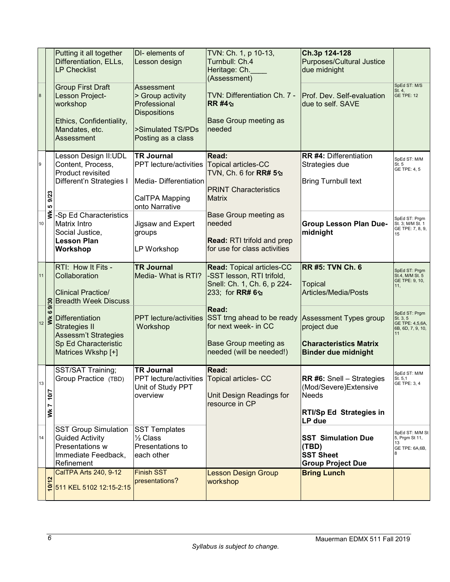|                |                                                        | Putting it all together<br>Differentiation, ELLs,<br><b>LP Checklist</b>                                                               | DI-elements of<br>Lesson design                                                                                              | TVN: Ch. 1, p 10-13,<br>Turnbull: Ch.4<br>Heritage: Ch.<br>(Assessment)                                                                               | Ch.3p 124-128<br><b>Purposes/Cultural Justice</b><br>due midnight                                                      |                                                                         |
|----------------|--------------------------------------------------------|----------------------------------------------------------------------------------------------------------------------------------------|------------------------------------------------------------------------------------------------------------------------------|-------------------------------------------------------------------------------------------------------------------------------------------------------|------------------------------------------------------------------------------------------------------------------------|-------------------------------------------------------------------------|
| $\bf 8$        |                                                        | <b>Group First Draft</b><br>Lesson Project-<br>workshop<br>Ethics, Confidentiality,<br>Mandates, etc.<br>Assessment                    | Assessment<br>> Group activity<br>Professional<br><b>Dispositions</b><br>>Simulated TS/PDs<br>Posting as a class             | TVN: Differentiation Ch. 7 -<br>$RR$ #4 $\gamma$<br><b>Base Group meeting as</b><br>needed                                                            | Prof. Dev. Self-evaluation<br>due to self. SAVE                                                                        | SpEd ST: M/S<br>St. 4,<br>GE TPE: 12                                    |
| $\overline{9}$ | 9/23<br>LO.                                            | Lesson Design II:UDL<br>Content, Process,<br>Product revisited<br>Different'n Strategies I                                             | <b>TR Journal</b><br>PPT lecture/activities Topical articles-CC<br>Media-Differentiation<br>CalTPA Mapping<br>onto Narrative | <b>Read:</b><br>TVN, Ch. 6 for RR# 5 <sub>→</sub><br><b>PRINT Characteristics</b><br><b>Matrix</b>                                                    | <b>RR #4: Differentiation</b><br>Strategies due<br><b>Bring Turnbull text</b>                                          | SpEd ST: M/M<br>St. 5<br>GE TPE: 4, 5                                   |
| 10             | š                                                      | -Sp Ed Characteristics<br>Matrix Intro<br>Social Justice,<br><b>Lesson Plan</b><br>Workshop                                            | Jigsaw and Expert<br>groups<br>LP Workshop                                                                                   | <b>Base Group meeting as</b><br>needed<br><b>Read: RTI trifold and prep</b><br>for use for class activities                                           | <b>Group Lesson Plan Due-</b><br>midnight                                                                              | SpEd ST: Prgm<br>St. 3; M/M St. 1<br>GE TPE: 7, 8, 9,<br>15             |
| 11             |                                                        | RTI: How It Fits -<br>Collaboration                                                                                                    | <b>TR Journal</b><br>Media- What is RTI?                                                                                     | <b>Read: Topical articles-CC</b><br>-SST lesson, RTI trifold,                                                                                         | <b>RR #5: TVN Ch. 6</b>                                                                                                | SpEd ST: Prgm<br>St.4, M/M St. 5                                        |
|                |                                                        | <b>Clinical Practice/</b><br><b>Breadth Week Discuss</b>                                                                               |                                                                                                                              | Snell: Ch. 1, Ch. 6, p 224-<br>233; for RR# 6 9                                                                                                       | <b>Topical</b><br>Articles/Media/Posts                                                                                 | GE TPE: 9, 10,<br>11 <sub>1</sub>                                       |
|                | 9/30<br>$\boldsymbol{\omega}$<br>$\frac{1}{12}$ $\geq$ | <b>Differentiation</b><br><b>Strategies II</b><br>Assessm't Strategies<br><b>Sp Ed Characteristic</b><br>Matrices Wkshp [+]            | <b>PPT</b> lecture/activities<br>Workshop                                                                                    | <b>Read:</b><br>SST trng ahead to be ready Assessment Types group<br>for next week- in CC<br><b>Base Group meeting as</b><br>needed (will be needed!) | project due<br><b>Characteristics Matrix</b><br><b>Binder due midnight</b>                                             | SpEd ST: Prgm<br>St. 3, 5<br>GE TPE: 4,5,6A,<br>6B, 6D, 7, 9, 10,<br>11 |
| 13             | 10/7<br>VVk 7                                          | SST/SAT Training;<br>Group Practice (TBD)                                                                                              | <b>TR Journal</b><br><b>PPT</b> lecture/activities<br>Unit of Study PPT<br>overview                                          | <b>Read:</b><br><b>Topical articles- CC</b><br>Unit Design Readings for<br>resource in CP                                                             | <b>RR #6: Snell - Strategies</b><br>(Mod/Severe) Extensive<br><b>Needs</b><br><b>RTI/Sp Ed Strategies in</b><br>LP due | SpEd ST: M/M<br>St. 5,1<br>GE TPE: 3, 4                                 |
| 14             |                                                        | <b>SST Group Simulation</b><br><b>Guided Activity</b><br>Presentations w<br>Immediate Feedback,<br>Refinement<br>CalTPA Arts 240, 9-12 | <b>SST Templates</b><br>1/2 Class<br>Presentations to<br>each other<br><b>Finish SST</b>                                     | <b>Lesson Design Group</b>                                                                                                                            | <b>SST Simulation Due</b><br>(TBD)<br><b>SST Sheet</b><br><b>Group Project Due</b><br><b>Bring Lunch</b>               | SpEd ST: M/M St<br>5, Prgm St 11,<br>13<br>GE TPE: 6A,6B,               |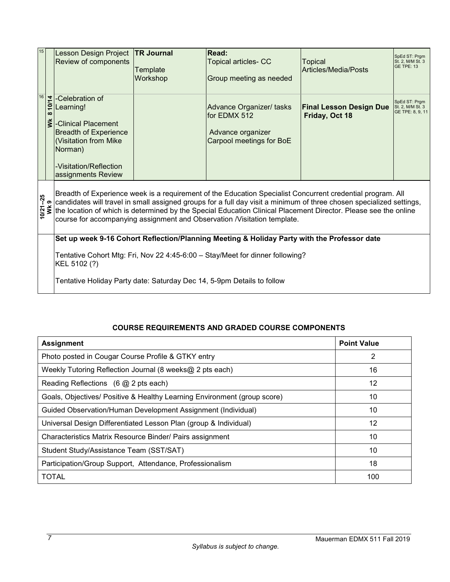<span id="page-8-1"></span>

| 15 |                                                                                                                                                                                                                                                                                                                                                                                                                                                          | <b>Lesson Design Project</b><br>Review of components                                                                                                                    | <b>TR Journal</b><br>Template<br>Workshop | <b>Read:</b><br><b>Topical articles- CC</b><br>Group meeting as needed                     | Topical<br>Articles/Media/Posts                  | SpEd ST: Prgm<br>St. 2, M/M St. 3<br><b>GE TPE: 13</b> |
|----|----------------------------------------------------------------------------------------------------------------------------------------------------------------------------------------------------------------------------------------------------------------------------------------------------------------------------------------------------------------------------------------------------------------------------------------------------------|-------------------------------------------------------------------------------------------------------------------------------------------------------------------------|-------------------------------------------|--------------------------------------------------------------------------------------------|--------------------------------------------------|--------------------------------------------------------|
| 16 | 10/14<br>$\infty$<br>ž                                                                                                                                                                                                                                                                                                                                                                                                                                   | -Celebration of<br>Learning!<br>-Clinical Placement<br><b>Breadth of Experience</b><br>(Visitation from Mike<br>Norman)<br>-Visitation/Reflection<br>assignments Review |                                           | Advance Organizer/ tasks<br>lfor EDMX 512<br>Advance organizer<br>Carpool meetings for BoE | <b>Final Lesson Design Due</b><br>Friday, Oct 18 | SpEd ST: Prgm<br>St. 2, M/M St. 3<br>GE TPE: 8, 9, 11  |
|    | Breadth of Experience week is a requirement of the Education Specialist Concurrent credential program. All<br>$10/21 - 25$<br>candidates will travel in small assigned groups for a full day visit a minimum of three chosen specialized settings,<br>WK9<br>the location of which is determined by the Special Education Clinical Placement Director. Please see the online<br>course for accompanying assignment and Observation /Visitation template. |                                                                                                                                                                         |                                           |                                                                                            |                                                  |                                                        |
|    |                                                                                                                                                                                                                                                                                                                                                                                                                                                          | Set up week 9-16 Cohort Reflection/Planning Meeting & Holiday Party with the Professor date                                                                             |                                           |                                                                                            |                                                  |                                                        |
|    |                                                                                                                                                                                                                                                                                                                                                                                                                                                          | Tentative Cohort Mtg: Fri, Nov 22 4:45-6:00 - Stay/Meet for dinner following?<br>KEL 5102 (?)                                                                           |                                           |                                                                                            |                                                  |                                                        |
|    |                                                                                                                                                                                                                                                                                                                                                                                                                                                          | Tentative Holiday Party date: Saturday Dec 14, 5-9pm Details to follow                                                                                                  |                                           |                                                                                            |                                                  |                                                        |

# **COURSE REQUIREMENTS AND GRADED COURSE COMPONENTS**

<span id="page-8-0"></span>

| <b>Assignment</b>                                                        | <b>Point Value</b> |
|--------------------------------------------------------------------------|--------------------|
| Photo posted in Cougar Course Profile & GTKY entry                       | 2                  |
| Weekly Tutoring Reflection Journal (8 weeks@ 2 pts each)                 | 16                 |
| Reading Reflections $(6 \text{ @ } 2 \text{ pts each})$                  | 12                 |
| Goals, Objectives/ Positive & Healthy Learning Environment (group score) | 10                 |
| Guided Observation/Human Development Assignment (Individual)             | 10                 |
| Universal Design Differentiated Lesson Plan (group & Individual)         | 12                 |
| Characteristics Matrix Resource Binder/ Pairs assignment                 | 10                 |
| Student Study/Assistance Team (SST/SAT)                                  | 10                 |
| Participation/Group Support, Attendance, Professionalism                 | 18                 |
| <b>TOTAL</b>                                                             | 100                |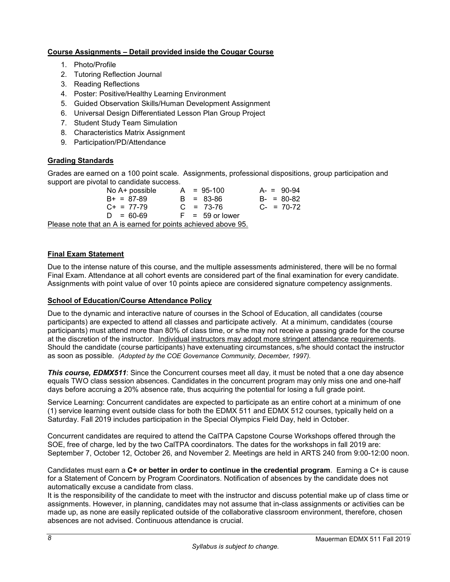# <span id="page-9-4"></span>**Course Assignments – Detail provided inside the Cougar Course**

- 1. Photo/Profile
- 2. Tutoring Reflection Journal
- 3. Reading Reflections
- 4. Poster: Positive/Healthy Learning Environment
- 5. Guided Observation Skills/Human Development Assignment
- 6. Universal Design Differentiated Lesson Plan Group Project
- 7. Student Study Team Simulation
- 8. Characteristics Matrix Assignment
- 9. Participation/PD/Attendance

# <span id="page-9-0"></span>**Grading Standards**

Grades are earned on a 100 point scale. Assignments, professional dispositions, group participation and support are pivotal to candidate success.<br>No A+ possible A = 95-100

No A+ possible  $A = 95-100$   $A = 90-94$ <br>B + = 87-89  $B = 83-86$   $B = 80-82$  $B = 83-86$   $B = 80-82$ <br>  $C = 73-76$   $C = 70-72$  $C + = 77-79$   $C = 73-76$  $D = 60-69$  F = 59 or lower

<span id="page-9-1"></span>Please note that an A is earned for points achieved above 95.

## <span id="page-9-2"></span>**Final Exam Statement**

Due to the intense nature of this course, and the multiple assessments administered, there will be no formal Final Exam. Attendance at all cohort events are considered part of the final examination for every candidate. Assignments with point value of over 10 points apiece are considered signature competency assignments.

## <span id="page-9-3"></span>**School of Education/Course Attendance Policy**

Due to the dynamic and interactive nature of courses in the School of Education, all candidates (course participants) are expected to attend all classes and participate actively. At a minimum, candidates (course participants) must attend more than 80% of class time, or s/he may not receive a passing grade for the course at the discretion of the instructor. Individual instructors may adopt more stringent attendance requirements. Should the candidate (course participants) have extenuating circumstances, s/he should contact the instructor as soon as possible. *(Adopted by the COE Governance Community, December, 1997).*

*This course, EDMX511*: Since the Concurrent courses meet all day, it must be noted that a one day absence equals TWO class session absences. Candidates in the concurrent program may only miss one and one-half days before accruing a 20% absence rate, thus acquiring the potential for losing a full grade point.

Service Learning: Concurrent candidates are expected to participate as an entire cohort at a minimum of one (1) service learning event outside class for both the EDMX 511 and EDMX 512 courses, typically held on a Saturday. Fall 2019 includes participation in the Special Olympics Field Day, held in October.

Concurrent candidates are required to attend the CalTPA Capstone Course Workshops offered through the SOE, free of charge, led by the two CalTPA coordinators. The dates for the workshops in fall 2019 are: September 7, October 12, October 26, and November 2. Meetings are held in ARTS 240 from 9:00-12:00 noon.

Candidates must earn a **C+ or better in order to continue in the credential program**. Earning a C+ is cause for a Statement of Concern by Program Coordinators. Notification of absences by the candidate does not automatically excuse a candidate from class.

It is the responsibility of the candidate to meet with the instructor and discuss potential make up of class time or assignments. However, in planning, candidates may not assume that in-class assignments or activities can be made up, as none are easily replicated outside of the collaborative classroom environment, therefore, chosen absences are not advised. Continuous attendance is crucial.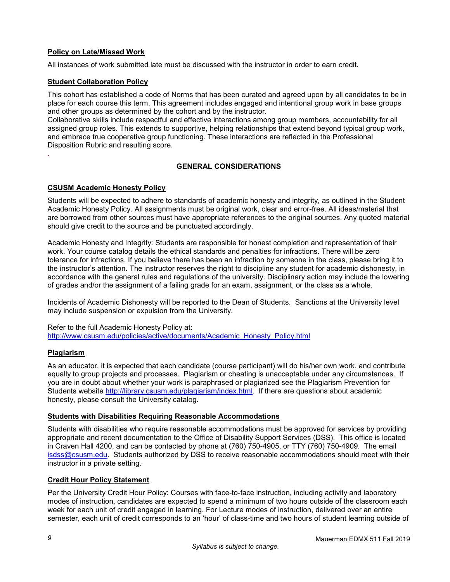# **Policy on Late/Missed Work**

All instances of work submitted late must be discussed with the instructor in order to earn credit.

## <span id="page-10-0"></span>**Student Collaboration Policy**

This cohort has established a code of Norms that has been curated and agreed upon by all candidates to be in place for each course this term. This agreement includes engaged and intentional group work in base groups and other groups as determined by the cohort and by the instructor.

Collaborative skills include respectful and effective interactions among group members, accountability for all assigned group roles. This extends to supportive, helping relationships that extend beyond typical group work, and embrace true cooperative group functioning. These interactions are reflected in the Professional Disposition Rubric and resulting score.

### **GENERAL CONSIDERATIONS**

### <span id="page-10-2"></span>**CSUSM Academic Honesty Policy**

Students will be expected to adhere to standards of academic honesty and integrity, as outlined in the Student Academic Honesty Policy. All assignments must be original work, clear and error-free. All ideas/material that are borrowed from other sources must have appropriate references to the original sources. Any quoted material should give credit to the source and be punctuated accordingly.

Academic Honesty and Integrity: Students are responsible for honest completion and representation of their work. Your course catalog details the ethical standards and penalties for infractions. There will be zero tolerance for infractions. If you believe there has been an infraction by someone in the class, please bring it to the instructor's attention. The instructor reserves the right to discipline any student for academic dishonesty, in accordance with the general rules and regulations of the university. Disciplinary action may include the lowering of grades and/or the assignment of a failing grade for an exam, assignment, or the class as a whole.

Incidents of Academic Dishonesty will be reported to the Dean of Students. Sanctions at the University level may include suspension or expulsion from the University.

Refer to the full Academic Honesty Policy at: [http://www.csusm.edu/policies/active/documents/Academic\\_Honesty\\_Policy.html](http://www.csusm.edu/policies/active/documents/Academic_Honesty_Policy.html)

#### <span id="page-10-3"></span>**Plagiarism**

<span id="page-10-1"></span>.

As an educator, it is expected that each candidate (course participant) will do his/her own work, and contribute equally to group projects and processes. Plagiarism or cheating is unacceptable under any circumstances. If you are in doubt about whether your work is paraphrased or plagiarized see the Plagiarism Prevention for Students website [http://library.csusm.edu/plagiarism/index.html.](http://library.csusm.edu/plagiarism/index.html) If there are questions about academic honesty, please consult the University catalog.

### <span id="page-10-4"></span>**Students with Disabilities Requiring Reasonable Accommodations**

Students with disabilities who require reasonable accommodations must be approved for services by providing appropriate and recent documentation to the Office of Disability Support Services (DSS). This office is located in Craven Hall 4200, and can be contacted by phone at (760) 750-4905, or TTY (760) 750-4909. The email [isdss@csusm.edu.](mailto:isdss@csusm.edu) Students authorized by DSS to receive reasonable accommodations should meet with their instructor in a private setting.

#### <span id="page-10-5"></span>**Credit Hour Policy Statement**

Per the University Credit Hour Policy: Courses with face-to-face instruction, including activity and laboratory modes of instruction, candidates are expected to spend a minimum of two hours outside of the classroom each week for each unit of credit engaged in learning. For Lecture modes of instruction, delivered over an entire semester, each unit of credit corresponds to an 'hour' of class-time and two hours of student learning outside of